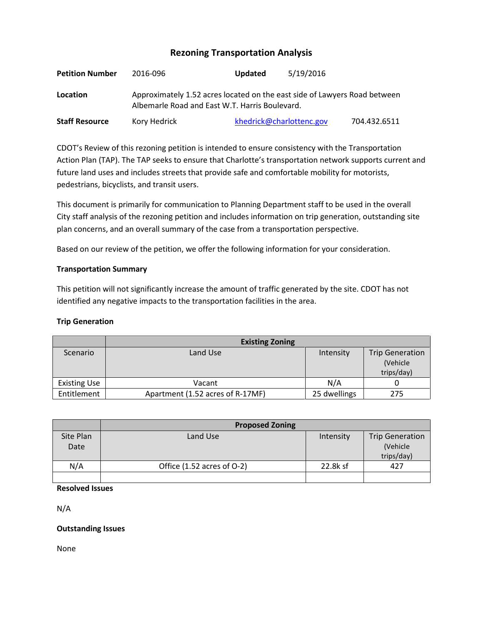# **Rezoning Transportation Analysis**

| <b>Petition Number</b> | 2016-096                                                                                                                    | Updated | 5/19/2016                |              |  |  |
|------------------------|-----------------------------------------------------------------------------------------------------------------------------|---------|--------------------------|--------------|--|--|
| Location               | Approximately 1.52 acres located on the east side of Lawyers Road between<br>Albemarle Road and East W.T. Harris Boulevard. |         |                          |              |  |  |
| <b>Staff Resource</b>  | Kory Hedrick                                                                                                                |         | khedrick@charlottenc.gov | 704.432.6511 |  |  |

CDOT's Review of this rezoning petition is intended to ensure consistency with the Transportation Action Plan (TAP). The TAP seeks to ensure that Charlotte's transportation network supports current and future land uses and includes streets that provide safe and comfortable mobility for motorists, pedestrians, bicyclists, and transit users.

This document is primarily for communication to Planning Department staff to be used in the overall City staff analysis of the rezoning petition and includes information on trip generation, outstanding site plan concerns, and an overall summary of the case from a transportation perspective.

Based on our review of the petition, we offer the following information for your consideration.

## **Transportation Summary**

This petition will not significantly increase the amount of traffic generated by the site. CDOT has not identified any negative impacts to the transportation facilities in the area.

## **Trip Generation**

|                     | <b>Existing Zoning</b>           |              |                        |  |
|---------------------|----------------------------------|--------------|------------------------|--|
| Scenario            | Land Use                         | Intensity    | <b>Trip Generation</b> |  |
|                     |                                  |              | (Vehicle               |  |
|                     |                                  |              | trips/day)             |  |
| <b>Existing Use</b> | Vacant                           | N/A          |                        |  |
| Entitlement         | Apartment (1.52 acres of R-17MF) | 25 dwellings | 275                    |  |

|                   | <b>Proposed Zoning</b>     |           |                                    |  |
|-------------------|----------------------------|-----------|------------------------------------|--|
| Site Plan<br>Date | Land Use                   | Intensity | <b>Trip Generation</b><br>(Vehicle |  |
|                   |                            |           | trips/day)                         |  |
| N/A               | Office (1.52 acres of O-2) | 22.8k sf  | 427                                |  |
|                   |                            |           |                                    |  |

## **Resolved Issues**

N/A

## **Outstanding Issues**

None